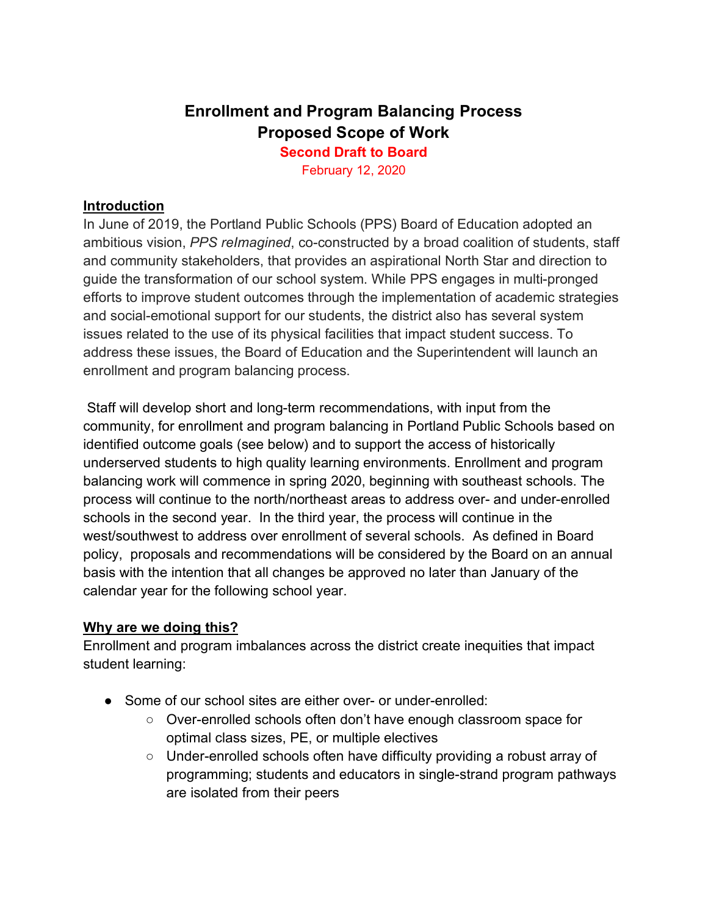# **Enrollment and Program Balancing Process Proposed Scope of Work Second Draft to Board**

February 12, 2020

#### **Introduction**

In June of 2019, the Portland Public Schools (PPS) Board of Education adopted an ambitious vision, *PPS reImagined*, co-constructed by a broad coalition of students, staff and community stakeholders, that provides an aspirational North Star and direction to guide the transformation of our school system. While PPS engages in multi-pronged efforts to improve student outcomes through the implementation of academic strategies and social-emotional support for our students, the district also has several system issues related to the use of its physical facilities that impact student success. To address these issues, the Board of Education and the Superintendent will launch an enrollment and program balancing process.

Staff will develop short and long-term recommendations, with input from the community, for enrollment and program balancing in Portland Public Schools based on identified outcome goals (see below) and to support the access of historically underserved students to high quality learning environments. Enrollment and program balancing work will commence in spring 2020, beginning with southeast schools. The process will continue to the north/northeast areas to address over- and under-enrolled schools in the second year. In the third year, the process will continue in the west/southwest to address over enrollment of several schools. As defined in Board policy, proposals and recommendations will be considered by the Board on an annual basis with the intention that all changes be approved no later than January of the calendar year for the following school year.

#### **Why are we doing this?**

Enrollment and program imbalances across the district create inequities that impact student learning:

- Some of our school sites are either over- or under-enrolled:
	- Over-enrolled schools often don't have enough classroom space for optimal class sizes, PE, or multiple electives
	- Under-enrolled schools often have difficulty providing a robust array of programming; students and educators in single-strand program pathways are isolated from their peers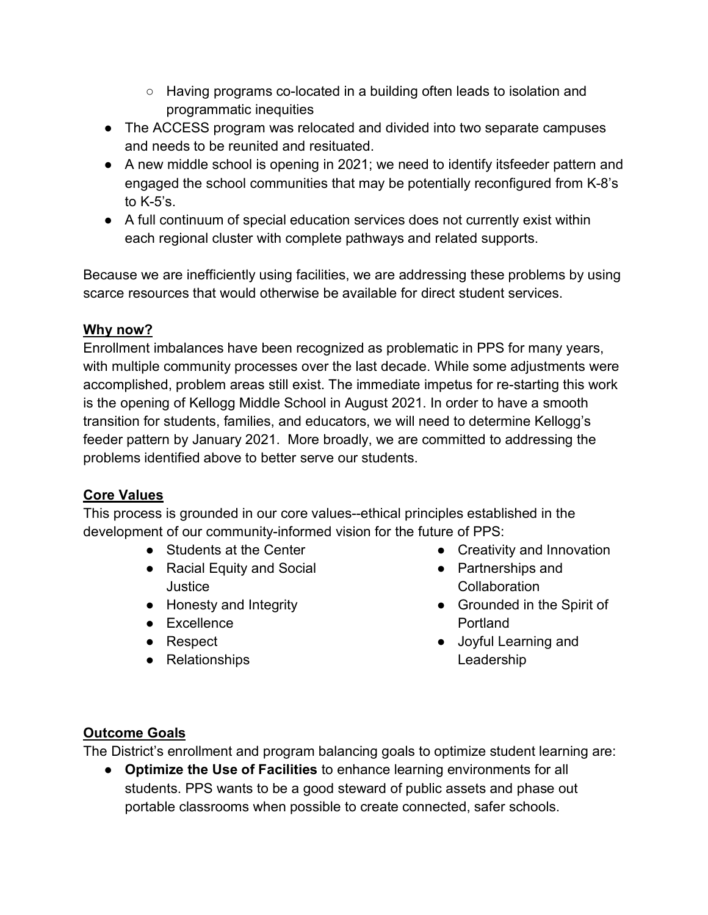- Having programs co-located in a building often leads to isolation and programmatic inequities
- The ACCESS program was relocated and divided into two separate campuses and needs to be reunited and resituated.
- A new middle school is opening in 2021; we need to identify itsfeeder pattern and engaged the school communities that may be potentially reconfigured from K-8's to  $K-5$ 's.
- A full continuum of special education services does not currently exist within each regional cluster with complete pathways and related supports.

Because we are inefficiently using facilities, we are addressing these problems by using scarce resources that would otherwise be available for direct student services.

### **Why now?**

Enrollment imbalances have been recognized as problematic in PPS for many years, with multiple community processes over the last decade. While some adjustments were accomplished, problem areas still exist. The immediate impetus for re-starting this work is the opening of Kellogg Middle School in August 2021. In order to have a smooth transition for students, families, and educators, we will need to determine Kellogg's feeder pattern by January 2021. More broadly, we are committed to addressing the problems identified above to better serve our students.

## **Core Values**

This process is grounded in our core values--ethical principles established in the development of our community-informed vision for the future of PPS:

- Students at the Center
- Racial Equity and Social **Justice**
- Honesty and Integrity
- Excellence
- Respect
- Relationships
- Creativity and Innovation
- Partnerships and **Collaboration**
- Grounded in the Spirit of Portland
- Joyful Learning and Leadership

## **Outcome Goals**

The District's enrollment and program balancing goals to optimize student learning are:

● **Optimize the Use of Facilities** to enhance learning environments for all students. PPS wants to be a good steward of public assets and phase out portable classrooms when possible to create connected, safer schools.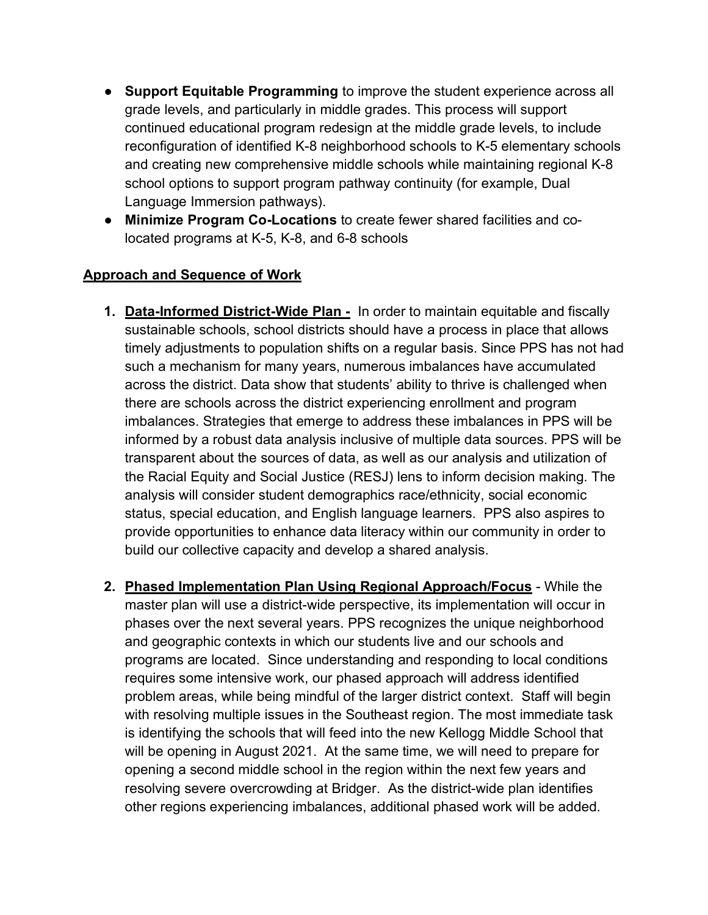- **Support Equitable Programming** to improve the student experience across all grade levels, and particularly in middle grades. This process will support continued educational program redesign at the middle grade levels, to include reconfiguration of identified K-8 neighborhood schools to K-5 elementary schools and creating new comprehensive middle schools while maintaining regional K-8 school options to support program pathway continuity (for example, Dual Language Immersion pathways).
- **Minimize Program Co-Locations** to create fewer shared facilities and colocated programs at K-5, K-8, and 6-8 schools

### **Approach and Sequence of Work**

- **1. Data-Informed District-Wide Plan** In order to maintain equitable and fiscally sustainable schools, school districts should have a process in place that allows timely adjustments to population shifts on a regular basis. Since PPS has not had such a mechanism for many years, numerous imbalances have accumulated across the district. Data show that students' ability to thrive is challenged when there are schools across the district experiencing enrollment and program imbalances. Strategies that emerge to address these imbalances in PPS will be informed by a robust data analysis inclusive of multiple data sources. PPS will be transparent about the sources of data, as well as our analysis and utilization of the Racial Equity and Social Justice (RESJ) lens to inform decision making. The analysis will consider student demographics race/ethnicity, social economic status, special education, and English language learners. PPS also aspires to provide opportunities to enhance data literacy within our community in order to build our collective capacity and develop a shared analysis.
- **2. Phased Implementation Plan Using Regional Approach/Focus** While the master plan will use a district-wide perspective, its implementation will occur in phases over the next several years. PPS recognizes the unique neighborhood and geographic contexts in which our students live and our schools and programs are located. Since understanding and responding to local conditions requires some intensive work, our phased approach will address identified problem areas, while being mindful of the larger district context. Staff will begin with resolving multiple issues in the Southeast region. The most immediate task is identifying the schools that will feed into the new Kellogg Middle School that will be opening in August 2021. At the same time, we will need to prepare for opening a second middle school in the region within the next few years and resolving severe overcrowding at Bridger. As the district-wide plan identifies other regions experiencing imbalances, additional phased work will be added.